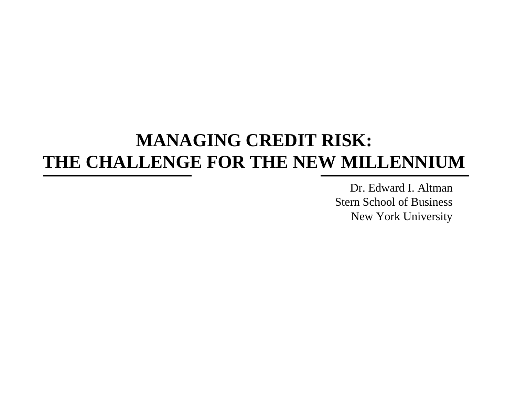# **MANAGING CREDIT RISK: THE CHALLENGE FOR THE NEW MILLENNIUM**

Dr. Edward I. AltmanStern School of BusinessNew York University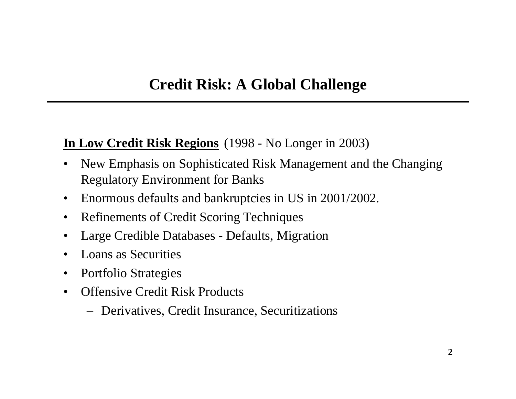#### **In Low Credit Risk Regions** (1998 - No Longer in 2003)

- •New Emphasis on Sophisticated Risk Management and the Changing Regulatory Environment for Banks
- •Enormous defaults and bankruptcies in US in 2001/2002.
- $\bullet$ Refinements of Credit Scoring Techniques
- •Large Credible Databases - Defaults, Migration
- •Loans as Securities
- $\bullet$ Portfolio Strategies
- •Offensive Credit Risk Products
	- Derivatives, Credit Insurance, Securitizations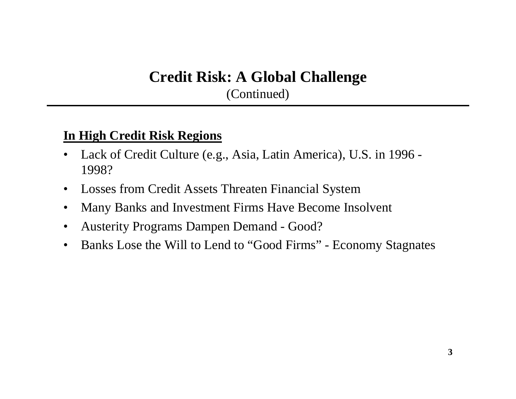## **Credit Risk: A Global Challenge**

(Continued)

#### **In High Credit Risk Regions**

- •Lack o f Credit Culture (e.g., Asia, Latin America), U.S. in 1996 - 1998?
- $\bullet$ Losses from Credit Assets Threaten Financial System
- $\bullet$ Many Banks and Investment F irms Have Become Insolvent
- •Austerity Programs Dampen Demand - Good?
- •Banks Lose the Will to Lend to "Good Firms" - Economy Stagnates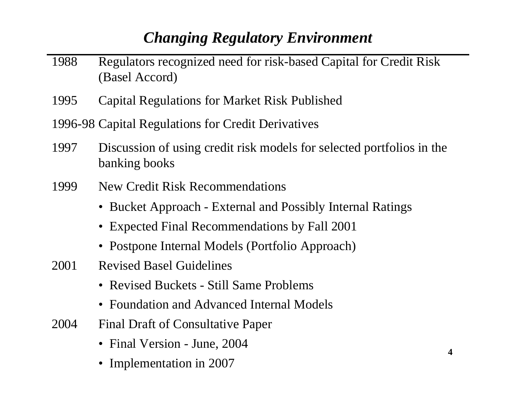## *Changing Regulatory Environment*

- 1988 Regulators recognized need for risk-based Capital for Credit Risk (Basel Accord)
- 1995Capital Regulations for Market Risk Published
- 1996-98 Capital Regulations for Credit Derivatives
- 1997 Discussion of using credit risk models for selected portfolios in the banking books
- 1999 New Credit Risk Recommendations
	- Bucket Approach External and Possibly Internal Ratings
	- Expected Final Recommendations by Fall 2001
	- Postpone Int ernal Models (Portfolio Approach)
- 2001 Revised Basel Guidelines
	- Revised Buckets Still Same Problems
	- Foundation and Advanced Internal Models
- 2004 Final Draft of Consultative P aper
	- Final Version June, 2004
	- Implementation in 2007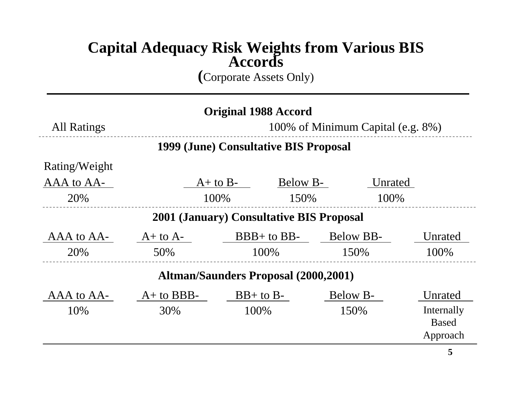#### **Capital Adequacy Risk Weights from Various BIS Accords**

**(**Corporate Assets Only)

| <b>Original 1988 Accord</b>                 |                                   |               |               |           |              |  |  |
|---------------------------------------------|-----------------------------------|---------------|---------------|-----------|--------------|--|--|
| <b>All Ratings</b>                          | 100% of Minimum Capital (e.g. 8%) |               |               |           |              |  |  |
| 1999 (June) Consultative BIS Proposal       |                                   |               |               |           |              |  |  |
| Rating/Weight                               |                                   |               |               |           |              |  |  |
| AAA to AA-                                  |                                   | $A+$ to $B-$  | Below B-      |           | Unrated      |  |  |
| 20%                                         |                                   | 100\%<br>150% |               |           | 100%         |  |  |
| 2001 (January) Consultative BIS Proposal    |                                   |               |               |           |              |  |  |
| AAA to AA-                                  | $A+$ to $A-$                      |               | $BBB+$ to BB- | Below BB- | Unrated      |  |  |
| 20%                                         | 50%                               | 100%          |               | 150%      | 100%         |  |  |
| <b>Altman/Saunders Proposal (2000,2001)</b> |                                   |               |               |           |              |  |  |
| AAA to AA-                                  | $A+$ to BBB-                      |               | $BB+$ to $B-$ | Below B-  | Unrated      |  |  |
| 10%                                         | 30%                               | 100%          |               | 150%      | Internally   |  |  |
|                                             |                                   |               |               |           | <b>Based</b> |  |  |
|                                             |                                   |               |               |           | Approach     |  |  |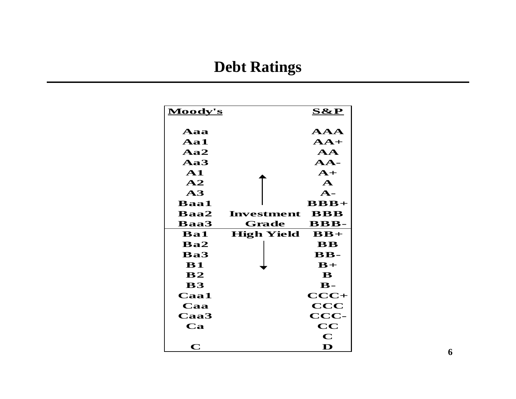## **Debt Ratings**

| Moody's        |                   | <u>S&amp;P</u>            |
|----------------|-------------------|---------------------------|
| $\bf{A}$ aa    |                   | ${\bf AAA}$               |
| Aa1            |                   | $AA+$                     |
| Aa2            |                   | ${\bf AA}$                |
| Aa3            |                   | $\bf{AA}$ -               |
| ${\bf A1}$     |                   | $A+$                      |
| $\mathbf{A2}$  |                   | $\mathbf{A}$              |
| $\mathbf{A}3$  |                   | $\mathbf{A}$ -            |
| <b>Baa1</b>    |                   | $BBB+$                    |
| <b>Baa2</b>    | Investment        | <b>BBB</b>                |
| <b>Baa3</b>    | Grade             | $\bf BBB-$                |
| <b>Ba1</b>     | <b>High Yield</b> | $\mathbf{B} \mathbf{B} +$ |
| $\mathbf{Ba2}$ |                   | $\bf{B}$                  |
| $\mathbf{Ba3}$ |                   | $\mathbf{B} \mathbf{B}$ - |
| ${\bf B1}$     |                   | $B+$                      |
| $\bf{B2}$      |                   | B                         |
| <b>B3</b>      |                   | $\mathbf{B}$ -            |
| $Caa1$         |                   | $CCC+$                    |
| Caa            |                   | $\mathbf{CCC}$            |
| $Caa3$         |                   | $\bf{CCC}$                |
| $\mathbf{Ca}$  |                   | $\bf CC$                  |
|                |                   | $\mathbf C$               |
|                |                   |                           |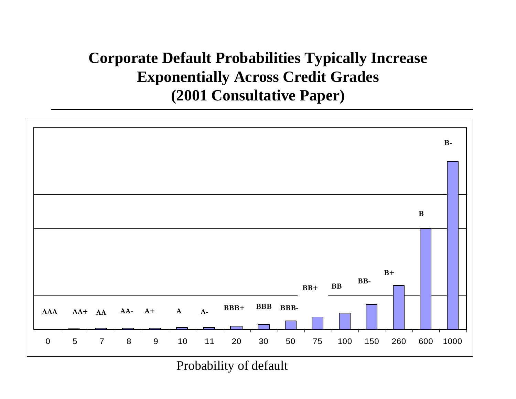## **Corporate Default Probabilities Typically Increase Exponentially Across Credit Grades (2001 Consultative Paper)**



Probability of default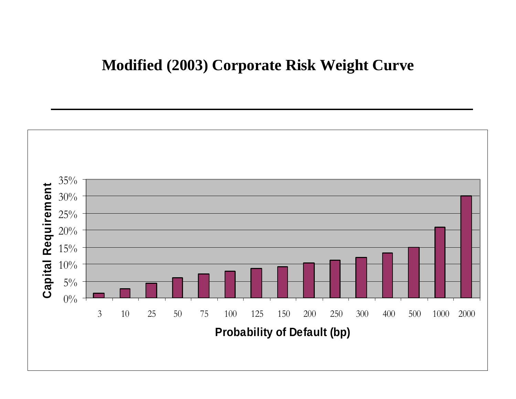#### **Modified (2003) Corporate Risk Weight Curve**

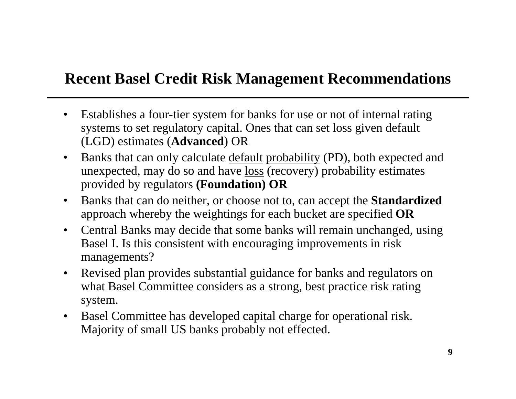#### **Recent Basel Credit Risk Management Recommendations**

- •Establis hes a four-tier s ystem for banks for use or not of internal rating systems to set regulatory capital. Ones that can set loss given default (LGD) estimat es (**Advanced**) OR
- $\bullet$ Banks that can only calculate default probability (PD), both expected and unexpected, may do so and have <u>loss</u> (recovery) probability estimates provided by regulators **(Foundation) OR**
- $\bullet$ Banks that can do neither, or choose not to, can accept the **Sta ndardized** approach whereby the weightings for each bucket are specified **OR**
- $\bullet$ Central Banks may decide that some banks will remain unchanged, using Basel I. Is this consistent with encouraging improvements in risk managements?
- $\bullet$ Revised plan provides substantial guidance for banks and regulators on what Basel Committee considers as a strong, best practice risk rating system.
- $\bullet$ Basel Committee has developed capital charge for operational risk. Majority of s mall US banks probably not effected.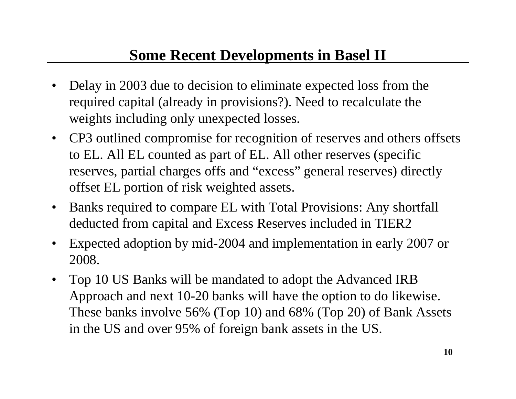#### **Some Recent Developments in Basel II**

- •Delay in 2003 due to decision to eliminate expected loss from the required capital (already in provisions?). Need to recalculate the weights including only unexpected losses.
- CP3 outlined compromise for recognition of reserves and others offsets to EL. All EL counted as part of EL. All other reserves (specific reserves, partial charges offs and "excess" general reserves) directly offset EL portion of risk weighted assets.
- $\bullet$ Banks required to compare EL with Total Provisions: Any shortfall deducted from capital and Excess Reser ves included in TIER2
- $\bullet$ Expected adoption by mid-2004 and implementation in early 2007 or 2008.
- $\bullet$ Top 10 US Banks will be mandated to adopt the Advanced IRB Approach and next 10-20 banks will have the option to do likewise. These banks involve 56% (Top 10) and 68% (Top 20) of Bank Assets in the US and over 95% of foreign bank assets in the US.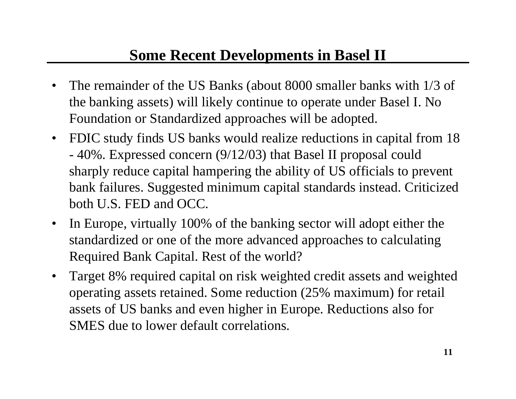#### **Some Recent Developments in Basel II**

- •The remainder of the US Banks (about 8000 smaller banks with 1/3 of the banking assets) will likely continue to operate under Basel I. No Foundation or Standardized approaches will be adopted.
- •FDIC study finds US banks would realize reductions in capital from 18 40%. Expressed concern (9/12/03) that Basel II proposal could sharply reduce capital hampering the ability of US officials to prevent bank failures. Suggested minimum capital standards instead. Criticized both U.S. FED and OCC.
- $\bullet$ In Europe, virtually 100% of the banking sector will adopt either the standar dized or one of the more advanced approaches to calculating Required Bank Capital. Rest of the world?
- •Target 8% required capital on risk weighted credit assets and weighted operating assets retained. Some reduction (25% maximum) for retail assets of US banks and even higher in Europe. Reductions also for SMES due to lower default correlations.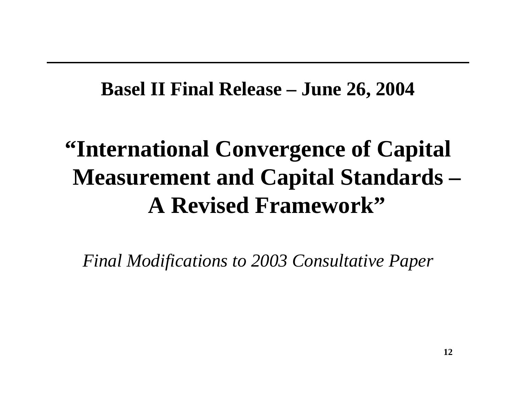# **Basel II Final Release – June 26, 2004**

# **"International Convergence of Capital Measurement and Capital Standards – A Revised Framework"**

*Final Modifications to 2003 Consultative Paper*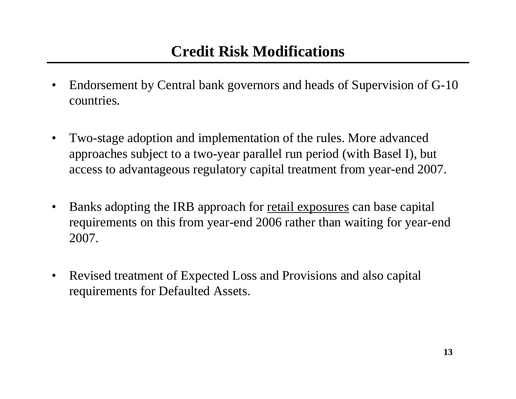#### **Credit Risk Modifications**

- •Endorsement by Central bank governors and heads of Supervision of G-10 countries.
- •Two-stage adoption and implementation of the rules. More advanced approaches subject to a two-year parallel run period (with Basel I), but access to advantageous regulatory capital treatment from year-end 2007.
- •Banks adopting the IRB approach for retail exposures can base capital requirements on this from year-end 2006 rather than waiting for year-end 2007.
- •Revised treatment of Expected Loss and Provisions and also capital requirements for Defaulted Assets.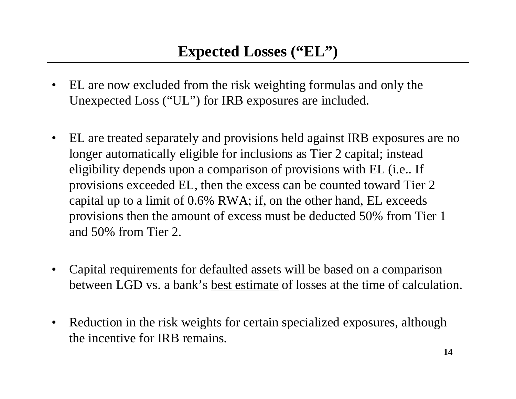- • EL are now excluded from the risk weighting formulas and only the Unexpected Loss ("UL") for IRB exposures are included.
- $\bullet$  EL are treated separately and provisions held against IRB exposures are no longer automatically eligible for inclusions as Tier 2 capital; instead eligibility depends upon a comparison of provisions with EL (i.e.. If provisions exceeded EL, then the excess can be counted toward Tier 2 capital up to a limit of 0.6% RWA; if, on the other hand, EL exceeds provisions then the amount of excess must be deducted 50% from Tier 1 and 50% from Tier 2.
- •Capital requirements for defaulted assets will be based on a comparison between LGD vs. a bank's best estimate of losses at the time of calculation.
- •Reduction in the risk weights for certain specialized exposures, although the incentive for IRB remains.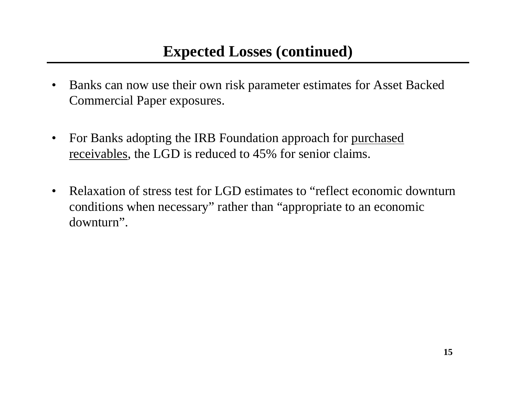- •Banks can now use their own risk paramet er estimates for Asset Backed Commercial P aper exposures.
- •For Banks adopting the IRB Foundation approach for purchased receivables, the LGD is reduced to 45% for senior claims.
- $\bullet$ Relaxation of stress test for LGD estimates to "reflect economic downturn conditions when necessary" rather than "appropri ate to an economic downturn".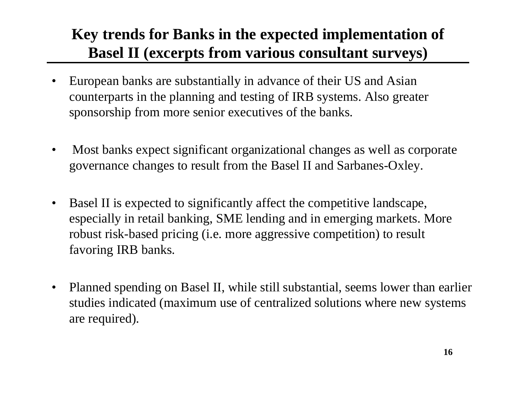## **Key trends for Banks in the expected implementation of Basel II (excerpts from various consultant surveys)**

- •European banks are substantially in advance of their US and Asian counterparts in the planning and testing of IRB systems. Also greater sponsorship from more senior executives of the banks.
- •Most banks expect significant organizational changes as well as corporate governance changes to result from the Basel II and Sarbanes-Oxley.
- •Basel II is expected to significantly affect the competitive landscape, especially in retail banking, SME lending and in emerging markets. More robust risk-based pricing (i.e. more aggressive competition) to result favoring IRB banks.
- •Planned spending on Basel II, while still substantial, seems lower than earlier studies indicat ed (maximum use of centralized sol utions where new systems are required).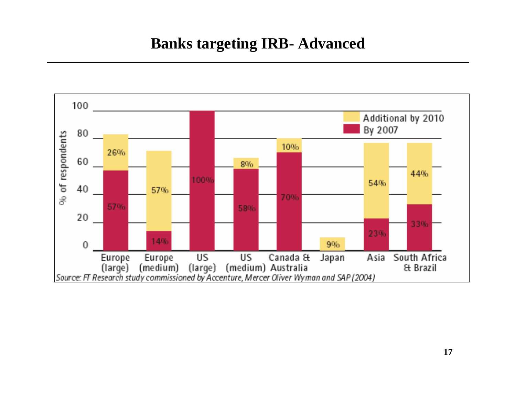#### **Banks targeting IRB- Advanced**

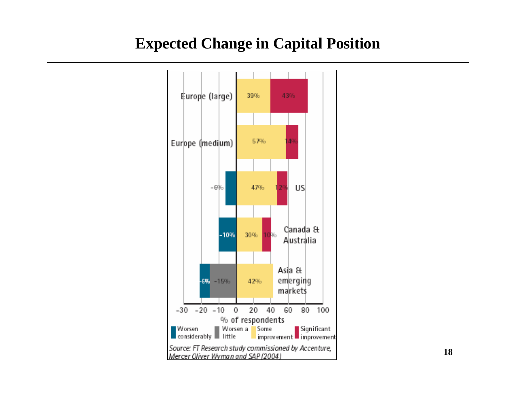#### **Expected Change in Capital Position**

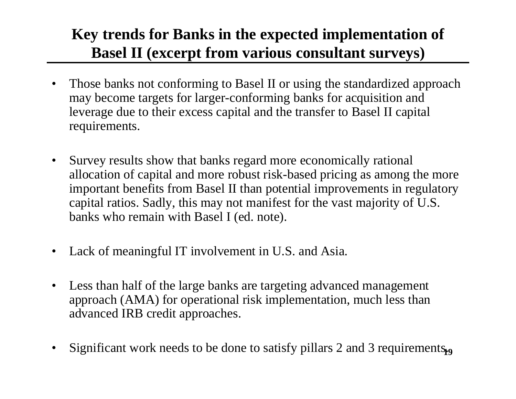## **Key trends for Banks in the expected implementation of Basel II (excerpt from various consultant surveys)**

- •Those banks not conforming to Basel II or using the standardized approach may become targets for larger-conforming banks for acquisition and leverage due to their excess capital and the transfer to Basel II capital requirements.
- $\bullet$ Survey results show that banks regard more economically rational allocation of capital and more robust risk-based pricing as among the more important benefits from Basel II than potential improvements in regulatory capital ratios. Sadly, this may not manifest for the vast majority of U.S. banks who remain with Basel I (ed. note).
- $\bullet$ Lack of meaningful IT involvement in U.S. and Asia.
- •Less than half of the large banks are targeting advanced management approach (AMA) for operational risk implementation, much less than advanced IRB credit approaches.
- Significant work needs to be done to satisfy pillars 2 and 3 requirements. •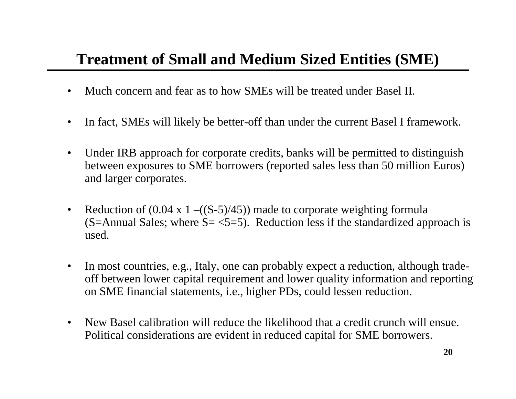## **Treatment of Small and Medium Sized Entities (SME)**

- •Much concern and fear as to how SMEs will be treated under Basel II.
- $\bullet$ In fact, SMEs will likely be better-off than under the current Basel I framework.
- •Under IRB approach for corporate credits, banks will be permitted to distinguish between exposures to SME borrowers (reported sales less than 50 million Euros) and larger corporates.
- $\bullet$ Reduction of  $(0.04 \times 1 - ((S-5)/45))$  made to corporate weighting formula (S=Annual Sales; where  $S = \langle 5=5 \rangle$ ). Reduction less if the standardized approach is used.
- $\bullet$ In most countries, e.g., Italy, one can probably expect a reduction, although tradeoff between low er capital requirement and lower quality information and reporting on SME financial statements, i.e., higher PDs, could lessen reduction.
- $\bullet$ New Basel calibration will reduce the likelihood that a credit crunch will ensue. Political considerations are evident in reduced capital for SME borrowers.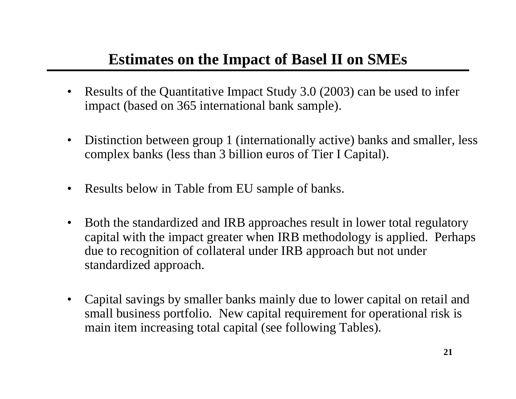#### **Estimates on the Impact of Basel II on SMEs**

- •Results of the Quantitative Impact Study 3.0 (2003) can be used to infer impact (based on 365 international bank sample).
- $\bullet$ Distinction bet ween group 1 (internationally active) banks and smaller, less complex banks (less than 3 billion euros of Tier I Capital).
- •Results below in Table from EU sample of banks.
- •Both the standardized and IRB approaches result in lower total regulatory capital with the impact greater when IRB methodology is appli ed. Perhaps due to recognition of collateral under IRB approach but not under standardized approach.
- •Capital savings by smaller banks mainly due to lower capital on retail and small business portfolio. New capital requirement for operational risk is main item increasing total capital (see following Tables).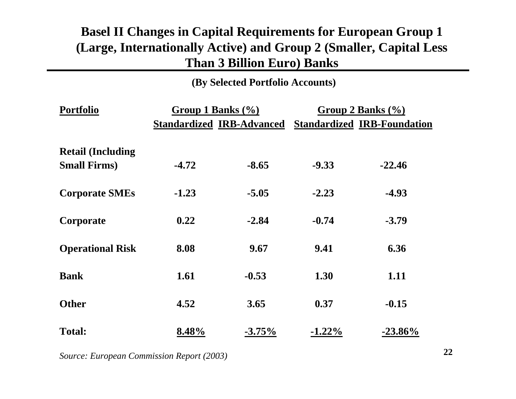#### **Basel II Changes in Capital Requirements for European Group 1 (Large, Internation ally Active) and Group 2 (Smaller, Capital Less Than 3 Billion Euro) Banks**

**(By S elected Portfolio Accounts)**

| <b>Portfolio</b>                                 |         | Group 1 Banks $(\% )$            | Group 2 Banks $(\% )$ |                                    |  |  |
|--------------------------------------------------|---------|----------------------------------|-----------------------|------------------------------------|--|--|
|                                                  |         | <b>Standardized IRB-Advanced</b> |                       | <b>Standardized IRB-Foundation</b> |  |  |
| <b>Retail (Including</b><br><b>Small Firms</b> ) | $-4.72$ | $-8.65$                          | $-9.33$               | $-22.46$                           |  |  |
| <b>Corporate SMEs</b>                            | $-1.23$ | $-5.05$                          | $-2.23$               | $-4.93$                            |  |  |
| Corporate                                        | 0.22    | $-2.84$                          | $-0.74$               | $-3.79$                            |  |  |
| <b>Operational Risk</b>                          | 8.08    | 9.67                             | 9.41                  | 6.36                               |  |  |
| <b>Bank</b>                                      | 1.61    | $-0.53$                          | 1.30                  | 1.11                               |  |  |
| <b>Other</b>                                     | 4.52    | 3.65                             | 0.37                  | $-0.15$                            |  |  |
| <b>Total:</b>                                    | 8.48%   | $-3.75\%$                        | $-1.22\%$             | $-23.86\%$                         |  |  |

*Source: European Commission Report ( 2003)*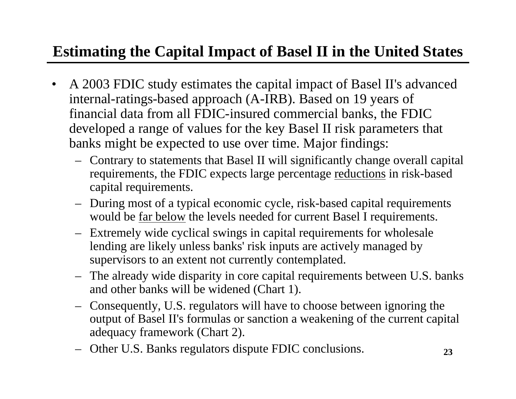## **Estimating the Capital Impact of Basel II in the United States**

- •A 2003 FDIC study estimates the capital impact of Basel II's advanced internal-ratings-based approach (A-IRB). Based on 19 years of financial data from all FDIC-insured commercial banks, the FDIC developed a range of values for the key Basel II risk parameters that banks might be expected to use over time. Major findings:
	- Contrary to statements that Basel II will significantly change overall capital requirements, the FDIC expects large percentage <u>reductions</u> in risk-based capital requirements.
	- During most of a typical economic cycle, risk-based capital requirements would be <u>far below</u> the levels needed for current Basel I requirements.
	- Extremely wide cyclical swings in capital requirements for wholesale lending are likely unless banks' risk inputs are actively managed by supervisors to an extent not currently contemplated.
	- The already wide disparity in core capital requirements between U.S. banks and other banks will be widened (Chart 1).
	- Consequently, U.S. regulators will have to choose between ignoring the output of Basel II's formulas or sanction a weakening of the current capital adequacy framework (Chart 2).
	- Other U.S. Banks regulators dis pute FDIC conclusions.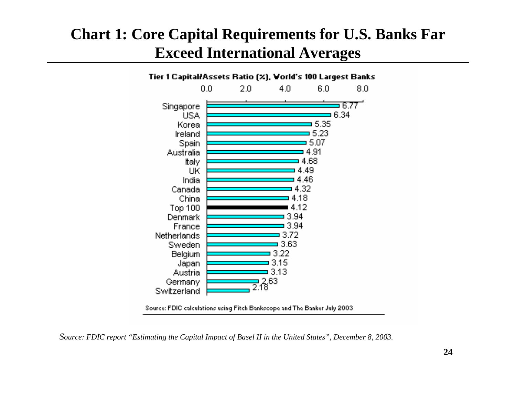## **Chart 1: Core Capital Requirements for U.S. Banks Far Exceed International Averages**



Source: FDIC calculations using Fitch Bankscope and The Banker July 2003

*Source: FDIC report "Estimating the Capital Impact of Basel II in the United States", December 8, 2003.*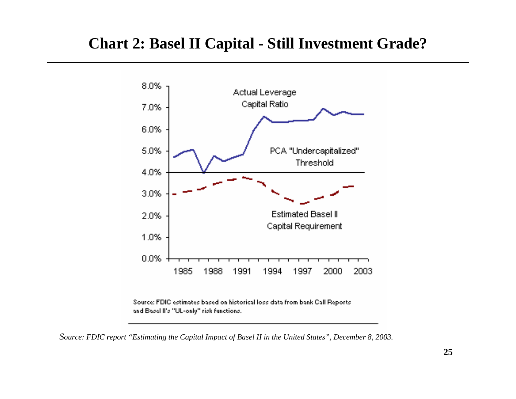#### **Chart 2: Basel II Capital - Still Investment Grade?**



Source: FDIC estimates based on historical loss data from bank Call Reports and Basel II's "UL-only" risk functions.

*Source: FDIC report "Estimating the Capital Impact of Basel II in the United States", December 8, 2003.*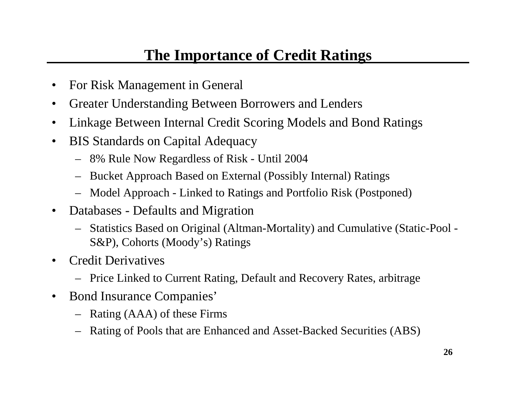#### **The Importance of Credit Ratings**

- •For Risk Management in General
- •Greater Understanding Between Borrowers and Lenders
- •Linkage Between Internal Credit S coring Models and Bond Ratings
- •BIS Standards on Capital Adequacy
	- 8% Rule Now Regardless of Risk Until 2004
	- –Bucket Approach Based on External (Possibly Internal) Ratings
	- Model Approach Linked to Ratings and Portfolio Risk (Postponed)
- $\bullet$ Databases - Defaults and Migration
	- Statistics Based on Original (Altman-Mortality) and Cumulative (Static-Pool S&P), Cohorts (Moody's) Ratings
- •Credit Derivatives
	- Price Linked to Current Rating, Default and Recovery Rates, arbitrage
- •Bond Insurance Companies'
	- Rating (AAA) of these Firms
	- Rating of Pools that are Enhanced and Asset-Backed Securities (ABS)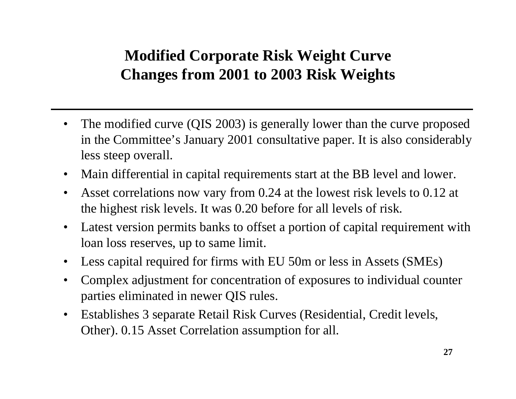## **Modified Corporate Risk Weight Curve Changes from 2001 to 2003 Risk Weights**

- •The modified curve (QIS 2003) is generally lower than the curve proposed in the Committee's January 2001 consultative paper. It is also considerably less steep overall.
- •Main differential in capital requirements start at the BB level and lower.
- •Asset correlations now vary from 0.24 at the lowest risk levels to 0.12 at the highest risk levels. It was 0.20 before for all levels of risk.
- $\bullet$ Latest version permits banks to offset a portion of capital requirement with loan loss reserves, up to same limit.
- $\bullet$ Less capital required for firms with EU 50m or less in Assets (SMEs)
- •Complex adjustment for concentration of exposures to individual counter parties eliminated in newer QIS rules.
- •Establishes 3 separate Retail Risk Curves (Residential, Credit l evels, Other). 0.15 Asset Correlation assumption for all.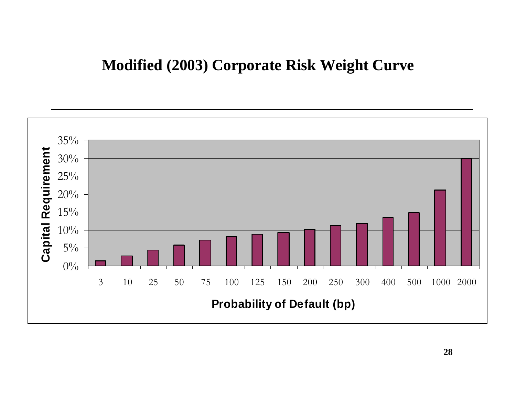#### **Modified (2003) Corporate Risk Weight Curve**

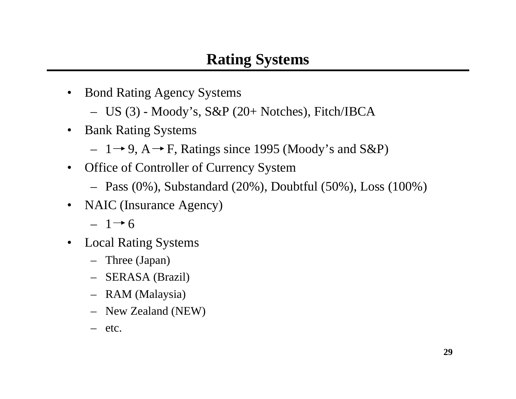- Bond Rating Agency Systems
	- US (3) Moody's, S&P (20+ Notches), Fitch/IBCA
- • Bank Rating Systems
	- $-1$   $\rightarrow$  9, A  $\rightarrow$  F, Ratings since 1995 (Moody's and S&P)
- Office of Controller of Currency System
	- Pass (0%), Substandard (20%), Doubtful (50%), Loss (100%)
- •NAIC (Insurance Agency)

 $-1 \rightarrow 6$ 

- • Local Rating Systems
	- Three (Japan)
	- SERASA (Brazil)
	- RAM (Malaysia)
	- New Zealand (NEW)
	- etc.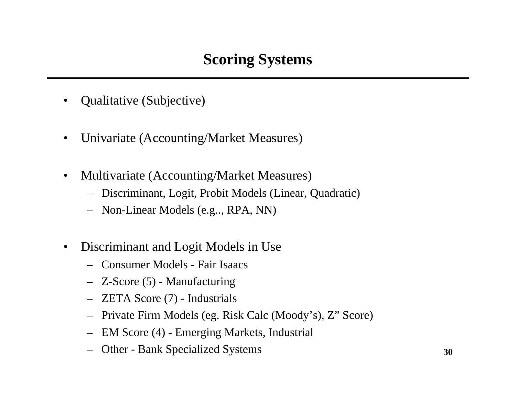- •Qualitative (Subjective)
- $\bullet$ Univariate (Accounting/Market Measures)
- $\bullet$  Multivariate (Accounting/Market Measures)
	- Discriminant, Logit, Probit Models (Linear, Quadratic)
	- Non-Linear Models (e.g.., RPA, NN)
- $\bullet$  Discriminant and Logit Models in Use
	- Consumer Models Fair Isaacs
	- Z-Score (5) Manufacturing
	- ZETA Score (7) Industrials
	- Private Firm Models (eg. Risk Calc (Moody's), Z" Score)
	- EM Score (4) Emerging Markets, Industrial
	- Other Bank Specialized Systems **<sup>30</sup>**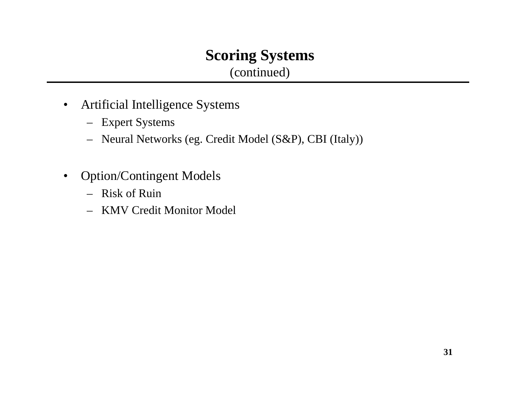#### **Scoring Systems** (continued)

- $\bullet$  Artificial Intelligence Systems
	- Expert Systems
	- Neural Networks (eg. Credit Model (S&P), CBI (Italy))
- $\bullet$  Option/Contingent Models
	- Risk of Ruin
	- KMV Credit Monitor Model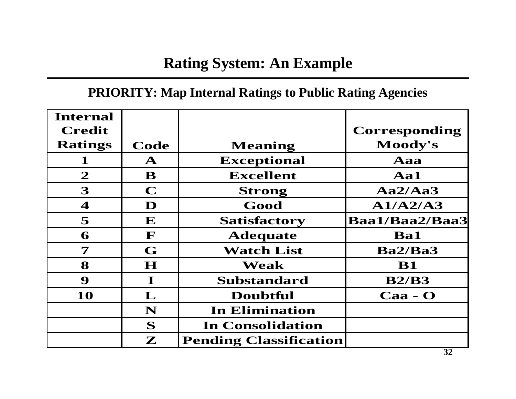## **Rating System: An Example**

#### **PRIORITY: Map I nternal Ratings to Public Rating Agencies**

| <b>Internal</b>         |              |                               |                       |
|-------------------------|--------------|-------------------------------|-----------------------|
| <b>Credit</b>           |              |                               | Corresponding         |
| <b>Ratings</b>          | Code         | <b>Meaning</b>                | Moody's               |
| $\mathbf 1$             | $\mathbf{A}$ | <b>Exceptional</b>            | Aaa                   |
| $\mathbf{2}$            | B            | <b>Excellent</b>              | Aa1                   |
| 3                       | $\mathbf C$  | <b>Strong</b>                 | Aa2/Aa3               |
| $\boldsymbol{4}$        | D            | Good                          | A1/A2/A3              |
| 5                       | ${\bf E}$    | <b>Satisfactory</b>           | <b>Baa1/Baa2/Baa3</b> |
| 6                       | F            | <b>Adequate</b>               | <b>Ba1</b>            |
| $\overline{\mathbf{7}}$ | G            | <b>Watch List</b>             | Ba2/Ba3               |
| 8                       | $\mathbf H$  | Weak                          | <b>B1</b>             |
| 9                       | $\bf I$      | <b>Substandard</b>            | B2/B3                 |
| 10                      | ${\bf L}$    | <b>Doubtful</b>               | $Caa - O$             |
|                         | N            | <b>In Elimination</b>         |                       |
|                         | S            | <b>In Consolidation</b>       |                       |
|                         | $\mathbf{Z}$ | <b>Pending Classification</b> |                       |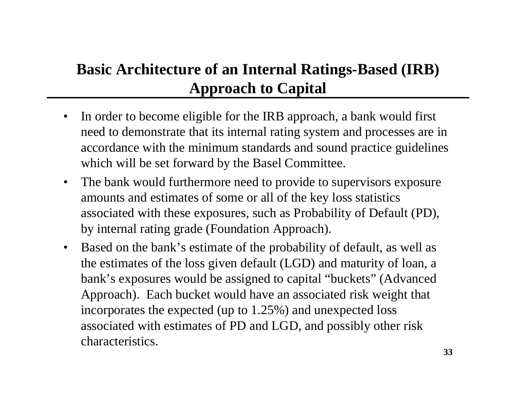## **Basic Architecture of an Internal Ratings-Based (IRB) Approach to Capital**

- $\bullet$ In order to become eligible for the IRB approach, a bank would first need to demonstrate that its internal rating system and processes are in accordance with the minimum standards and sound practice guidelines which will be set forward by the Basel Committee.
- $\bullet$ The bank would furthermore need to provide to supervisors exposure amounts and estimates of some or all of the key loss statistics associated with these exposures, such as Probability of Default (PD), by internal rating grade (Foundation Approach).
- $\bullet$ Based on the bank's estimate of the probability of default, as well as the estimates of the loss given default (LGD) and maturit y of loan, a bank's exposures would be assigned to capital "buckets" (Advanced Approach). Each bucket would have an associated risk weight that incorporates the expected (up to 1.25%) and unexpected loss associated with estimates of PD and LGD, and possibly other risk characteristics.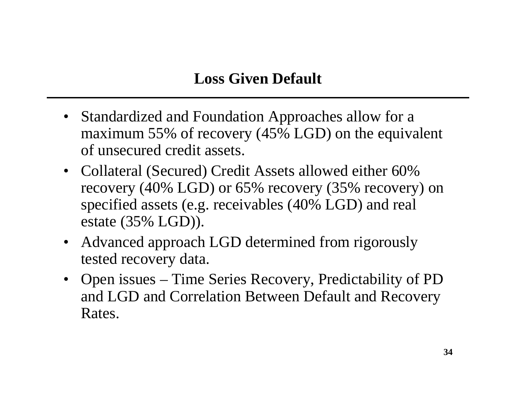- Standardized and Foundation Approaches allow for a maximum 55% of recovery (45% LGD) on the equivalent of unsecured credit assets.
- Collateral (Secured) Credit Assets allowed either 60% recovery (40% LGD) or 65% recovery (35% recovery) on specified assets (e.g. receivables (40% LGD) and real estate (35% LGD)).
- Advanced approach LGD determined from rigorously tested recovery data.
- Open issues Time Series Recovery, Predictability of PD and LGD and Correlation Between Default and Recovery Rates.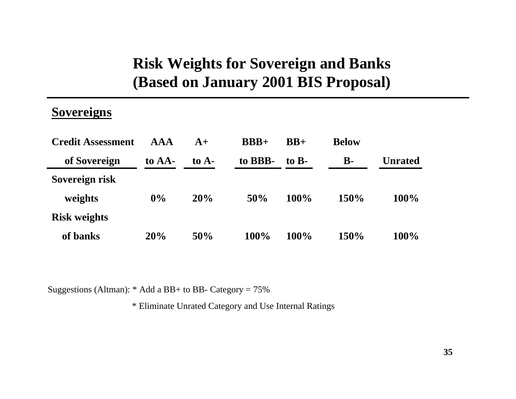## **Risk Weights for Sovereign and Banks (Based on January 2001 BIS Proposal)**

#### **Sovereigns**

| <b>Credit Assessment</b> | <b>AAA</b> | $A+$    | $BBB+$  | $BB+$             | <b>Below</b> |                |
|--------------------------|------------|---------|---------|-------------------|--------------|----------------|
| of Sovereign             | to AA-     | to $A-$ | to BBB- | to $\mathbf{B}$ - | <b>B-</b>    | <b>Unrated</b> |
| Sovereign risk           |            |         |         |                   |              |                |
| weights                  | $0\%$      | 20%     | 50%     | 100%              | 150%         | $100\%$        |
| <b>Risk weights</b>      |            |         |         |                   |              |                |
| of banks                 | 20%        | 50%     | 100%    | 100%              | 150%         | 100%           |

Suggestions (Altman): \* Add a BB+ to BB-Category = 75%

\* Eliminate Unrated Category and Use Internal Ratings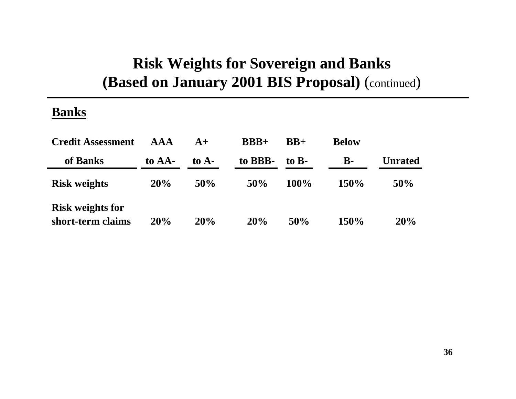#### **Risk Weights for Sovereign and Banks (Based on January 2001 BIS Proposal)**  (continued )

#### **Banks**

| <b>Credit Assessment</b>                     | <b>AAA</b> | $A+$    | $BBB+$  | $BB+$             | <b>Below</b>   |                |
|----------------------------------------------|------------|---------|---------|-------------------|----------------|----------------|
| of Banks                                     | to AA-     | to $A-$ | to BBB- | to $\mathbf{B}$ - | $\mathbf{B}$ - | <b>Unrated</b> |
| <b>Risk weights</b>                          | 20%        | 50%     | 50%     | 100%              | 150%           | 50%            |
| <b>Risk weights for</b><br>short-term claims | 20%        | 20%     | 20%     | 50%               | 150%           | 20%            |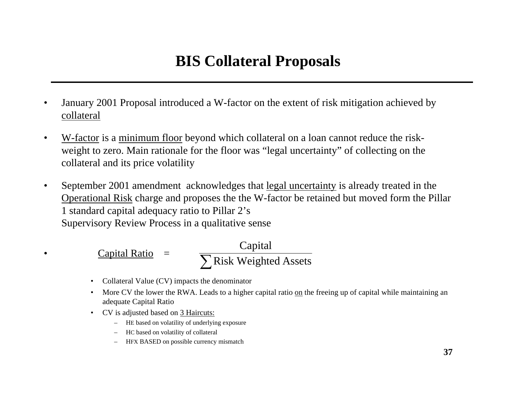## **BIS Collateral Proposals**

- • January 2001 Proposal introduced a W-factor on the extent of risk mitigation achieved by collateral
- • W-factor is a minimum floor beyond which collateral on a loan cannot reduce the riskweight to zero. Main rationale for the floor was "legal uncertainty" of collecting on the collateral and its price volatility
- • September 2001 amendment acknowledges that legal uncertainty is already treated in the Operational Risk charge and proposes the the W-factor be retained but moved form the Pillar 1 standard capital adequacy ratio to Pillar 2's Supervisory Review Process in a qualitative sense

 Capital Ratio <sup>=</sup> ∑Risk Weighted Assets Capital

- Collateral Value (CV) impacts the denominator
- •• More CV the lower the RWA. Leads to a higher capital ratio on the freeing up of capital while maintaining an adequate Capital Ratio
- CV is adjusted based on 3 Haircuts:

•

- H E based on volatility of underlying ex posure
- H C based on volatility of collateral
- HFX BASED on possi ble currency mismatch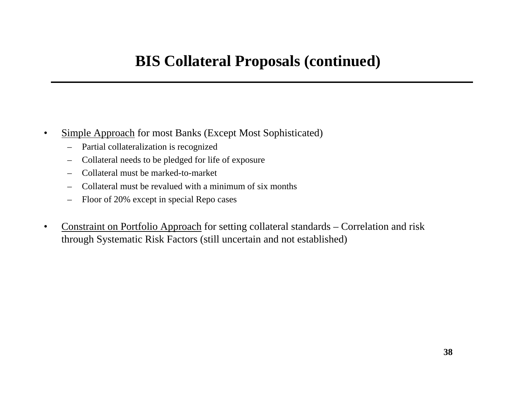## **BIS Collateral Proposals (continued)**

- • Simple Approach for most Banks (Except Most Sophisticated)
	- –Partial collateralization is recognized
	- –Collateral needs to be pledged for life of exposure
	- Collateral must be marked-to-market
	- –Collateral must be revalued with a minimum of six months
	- –Floor of 20% except in special Repo cases
- •• Constraint on Portfolio Approach for setting collateral standards – Correlation and risk through Systematic Risk Factors (still uncertain and not established)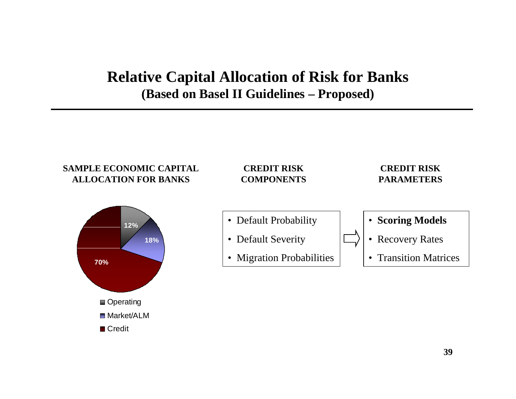#### **Relative Capital Allocation of Risk for Banks (Based on Basel II Guidelines – Proposed)**

#### **SAMPLE ECONOMIC CAPITAL ALLOCATION FOR BANKS**

#### **CREDIT RISK COMPONENTS**

#### **CREDIT RISK PARAMETERS**



- Default Probability
- Default Severity
- Migration Probabilities



- Recovery Rates
- Transition Matrices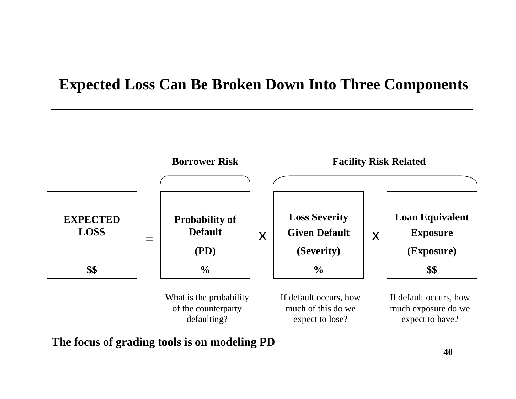#### **Expected Loss Can Be Broken Down Into Three Components**



**The focus of grading tools is on modeling PD**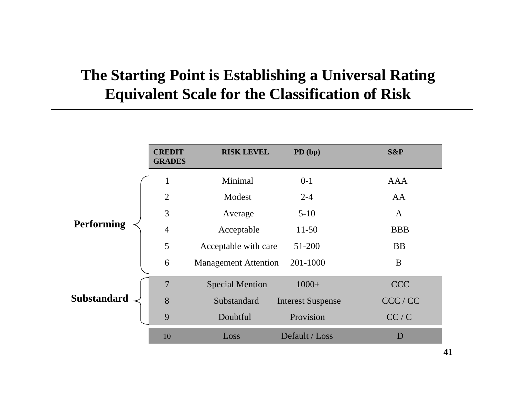## **The Starting Point is Establishing a Universal Rating Equivalent Scale for the Classification of Risk**

|                    | <b>CREDIT</b><br><b>GRADES</b> | <b>RISK LEVEL</b>           | $PD$ (bp)                | S&P          |
|--------------------|--------------------------------|-----------------------------|--------------------------|--------------|
|                    | $\mathbf{1}$                   | Minimal                     | $0-1$                    | <b>AAA</b>   |
| <b>Performing</b>  | $\overline{2}$                 | Modest                      | $2 - 4$                  | AA           |
|                    | 3                              | Average                     | $5-10$                   | $\mathbf{A}$ |
|                    | $\overline{4}$                 | Acceptable                  | $11-50$                  | <b>BBB</b>   |
|                    | 5                              | Acceptable with care        | 51-200                   | <b>BB</b>    |
|                    | 6                              | <b>Management Attention</b> | 201-1000                 | B            |
| <b>Substandard</b> | 7                              | <b>Special Mention</b>      | $1000+$                  | <b>CCC</b>   |
|                    | 8                              | Substandard                 | <b>Interest Suspense</b> | CCC / CC     |
|                    | 9                              | Doubtful                    | Provision                | CC/C         |
|                    | 10                             | Loss                        | Default / Loss           | D            |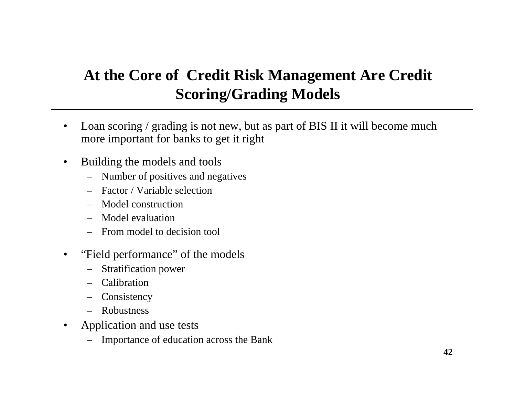## **At the Core of Credit Risk Management Are Credit Scoring/Grading Models**

- •Loan scoring / grading is not new, but as part of BIS II it will become much more important for banks to get it right
- $\bullet$ Building the models and tools
	- –Number of positives and negatives
	- Factor / Variable selection
	- –Model construction
	- –Model evaluation
	- –From model to decision tool
- $\bullet$ "Field performance" of the models
	- –Stratification power
	- Calibration
	- **Consistency**
	- –Robustness
- $\bullet$ Application and use tests
	- Importance of education across the Bank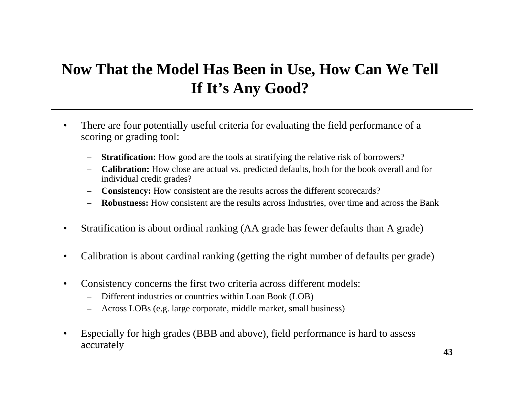## **Now That the Model Has Been in Use, How Can We Tell If It's Any Good?**

- • There are four potentially useful criteria for evaluating the field performance of a scoring or grading tool:
	- –**Stratification:** How good are the tools at stratifying the relative risk of borrowers?
	- **Calibration:** How close are actual vs. predicted defaults, both for the book overall and for individual credit grades?
	- **Consistency:** How consistent are the results across the different scorecards?
	- **Robustness:** How consistent are the results across Industries, over time and across the Bank
- $\bullet$ Stratification is about ordinal ranking ( AA grade has fewer defaults than A grade)
- •Calibration is about cardinal ranking (getting the right number of defaults per grade)
- $\bullet$  Consistency concerns the first two criteria across different models:
	- Different indust ries or countries within Loan Book (LOB)
	- –Across LOBs (e.g. l arge corporate, middle market, small business)
- •• Especially for high grades (BBB and above), field performance is hard to assess accurately **43**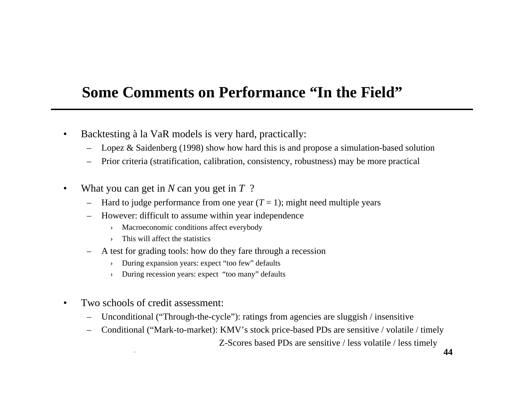#### **Some Comments on Performance "In the Field"**

- $\bullet$ • Backtesting à la VaR models is very hard, practically:
	- Lopez & Saidenberg (1998) show how hard this is and propose a sim ulation-based solution
	- Prior criteria (stratification, calibration, consistency, robustness) may be m ore practical
- • What you can get in *N* can you get in *T*  ?
	- Hard to judge performance from one year  $(T = 1)$ ; might need multiple years
	- –However: difficult to assume within year independence
		- ›Macroeconomic conditions affect everybody
		- ›This will affect the statistics
	- A test for grading tools: how do they fare through a recession
		- ›During expansion years: expect "too few" defaults
		- ›During recession years: expect "too many" defaults
- • Two schools of credit assessment:
	- Unconditional ("Through-the-cycle"): ratings from agencies are sluggish / insensitive
	- Conditional ("Mark-to-market): KMV's stock price-based PDs are sensitive / volatile / timely

Z-Scores b ased PDs are sensitive / less volatile / less timely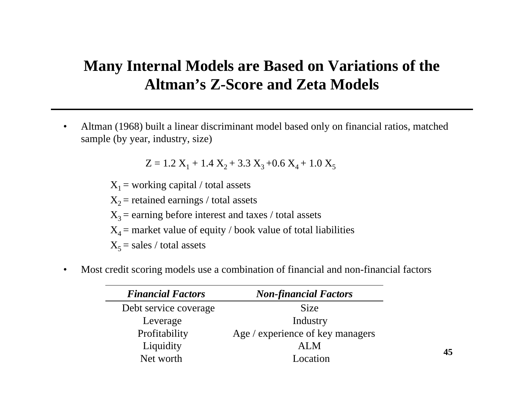#### **Many Internal Models are Based on Variations of the Altman's Z-Score and Zeta Models**

• Altman (1968) built a linear discriminant model based only on financial ratios, matched sample (by year, industry, size)

 $Z = 1.2$   $X_1 + 1.4$   $X_2 + 3.3$   $X_3 + 0.6$   $X_4 + 1.0$   $X_5$ 

 $X_1$  = working capital / total assets  $X<sub>2</sub>$  = retained earnings / total assets  $X_3$  = earning before interest and taxes / total assets  $X_4$  = market value of equity / book value of total liabilities  $X_5$  = sales / total assets

•Most credit scoring models use a combination of financial and non-financial factors

| <b>Financial Factors</b> | <b>Non-financial Factors</b>     |
|--------------------------|----------------------------------|
| Debt service coverage    | <b>Size</b>                      |
| Leverage                 | Industry                         |
| Profitability            | Age / experience of key managers |
| Liquidity                | ALM                              |
| Net worth                | Location                         |

**45**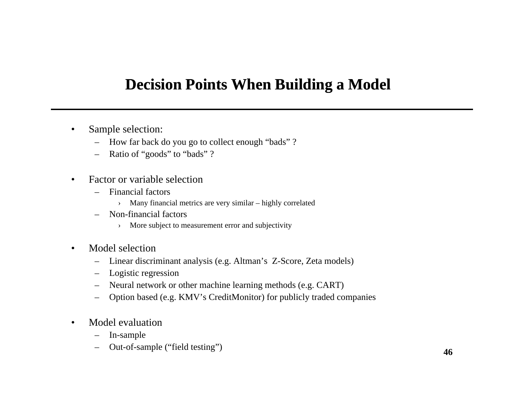- • Sample selection:
	- How far back do you go to collect enough "bads" ?
	- Ratio of "goods" to "bads" ?
- • Factor or variable selection
	- –Financial factors
		- ›> Many financial metrics are very similar – highly correlated
	- –Non-financial factors
		- › More subject to measureme nt error and subjectivity
- • Model selection
	- Linear dis crimin ant analysis (e.g. Alt man's Z-Score, Zeta models)
	- Logistic regression
	- Neural network or other machine learning methods (e.g. CART)
	- –Option based (e.g. KMV's CreditMonit or) for publicly traded companies
- • Model evaluation
	- –I n-sa m ple
	- –Out-of-sam <sup>p</sup>le ("field testing") **<sup>46</sup>**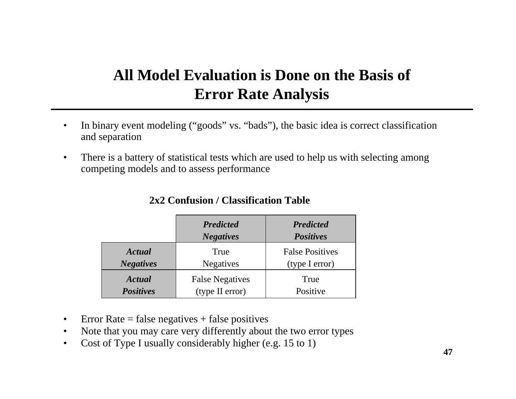## **All Model Evaluation is Done on the Basis of Error Rate Analysis**

- • In binary event modeling ("goods" vs. "bads"), the basic idea is correct classification and separation
- $\bullet$  There is a battery of statistical tests which are used to help us with selecting among competing models and to assess performance

|                  | <b>Predicted</b><br><b>Negatives</b> | <b>Predicted</b><br><b>Positives</b> |  |
|------------------|--------------------------------------|--------------------------------------|--|
| Actual           | True                                 | <b>False Positives</b>               |  |
| <b>Negatives</b> | <b>Negatives</b>                     | (type I error)                       |  |
| Actual           | <b>False Negatives</b>               | True                                 |  |
| <b>Positives</b> | (type II error)                      | Positive                             |  |

#### **2x2 Confusion / Classification Table**

- •Error Rate  $=$  false negatives  $+$  false positives
- •• Note that you may care very differently about the two error types
- $\bullet$ • Cost of Type I usually considerably higher (e.g. 15 to 1)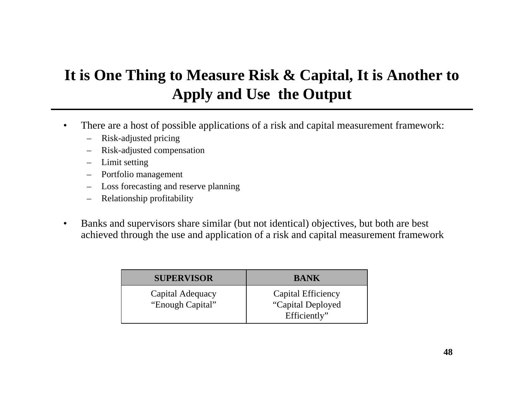## **It is One Thing to Measure Risk & Capital, It is Another to Apply and Use the Output**

- • There are a host of possible applications of a risk and capital measurement framework:
	- $\overline{\phantom{0}}$ Risk-adjusted pricing
	- –Risk-adjusted compens ation
	- –Limit setting
	- –P o rtfolio m anagem ent
	- –Loss forecasting and reserve planning
	- –Relationship profitability
- • Banks and supervisors share similar (but not identical) objectives, but both are best achieved through the use and application of a risk and capital measurement framework

| <b>SUPERVISOR</b>                    | <b>BANK</b>                                              |
|--------------------------------------|----------------------------------------------------------|
| Capital Adequacy<br>"Enough Capital" | Capital Efficiency<br>"Capital Deployed"<br>Efficiently" |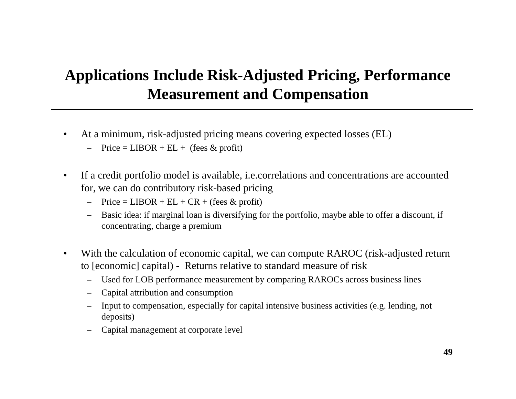## **Applications Include Risk-Adjusted Pricing, Performance Measurement and Compensation**

- $\bullet$  At a minimum, risk-adjusted pricing means covering expected losses (EL)
	- Price =  $LIBOR + EL +$  (fees & profit)
- • If a credit portfolio model is available, i.e.correlations and concentrations are accounted for, we can do contributory risk-based pricing
	- $-$  Price = LIBOR + EL + CR + (fees & profit)
	- Basic idea: if marginal loan is diversifying for the port foli o, maybe able to offer a discount, if con centrating, charge a premium
- •• With the calculation of economic capital, we can compute RAROC (risk-adjusted return to [economic] capital) - Returns relative to sta ndard measure of risk
	- Used for L OB performance measurement by com paring RAROCs across business lines
	- –Capital attribution and consumption
	- Input to com pensation, esp ecially for capital intensive business activities (e.g. lending, not deposits)
	- Capital manag ement at corporate lev el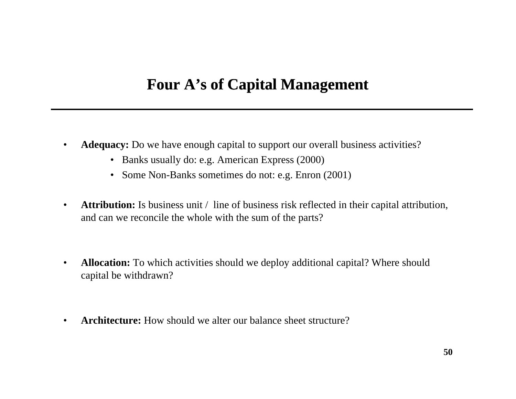- $\bullet$  **Adequacy:** Do we have enough capital to support our overall business activities?
	- Banks usually do: e.g. American E xpress (2000)
	- Some Non-Banks sometimes do not: e.g. Enron (2001)
- $\bullet$  **Attribution:** Is business unit / line of business risk reflected in their capital attribution, and can we reconcile the whole with the sum of the parts?
- •• **Allocation:** To which activities should we deploy additional capital? Where should capital be withdrawn?
- •**Architecture:** How should we alter our balance sheet structure?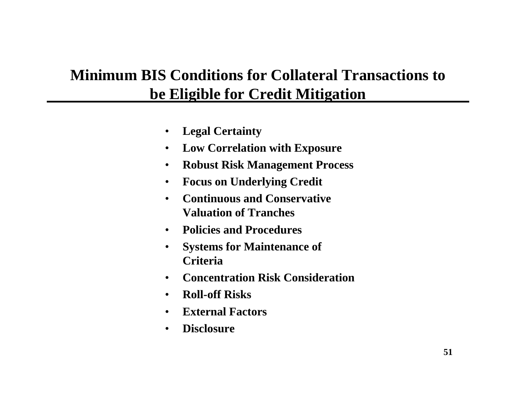## **Minimum BIS Conditions for Collateral Transactions to be Eligible for Credit Mitigation**

- $\bullet$ **Legal Certainty**
- $\bullet$ **Low Correlation with Exposure**
- •**Robust Risk Management Process**
- $\bullet$ **Focus on Underlying Credit**
- • **Continuous and Conservative Valuation of Tranches**
- •**Policies and Procedures**
- $\bullet$  **Systems for Maintenance of Criteria**
- •**Concentration Risk Consideration**
- •**Roll-off Risks**
- •**External Factors**
- •**Disclosure**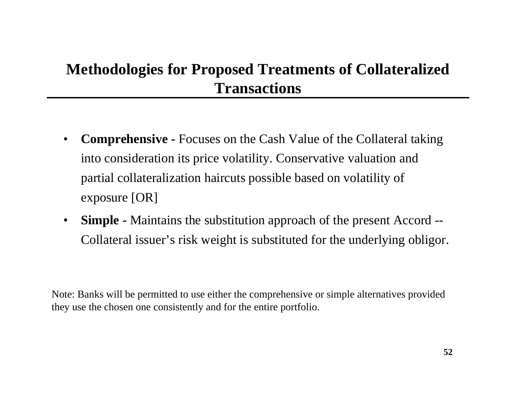## **Methodologies for Proposed Treatments of Collateralized Transactions**

- • **Comprehensive -** Focuses on the Cash Value of the Collateral taking into consideration its price volatility. Conservative valuation and partial collateralization haircuts possible based on volatility of exposure [OR]
- • **Simple -** Maintains the substitution approach of the present Accord -- Collateral issuer's risk weight is substituted for the underlying obligor.

Note: Banks will be permitted to use either the comprehensive or simple alternatives provided they use the chosen one consistently and for the entire portfolio.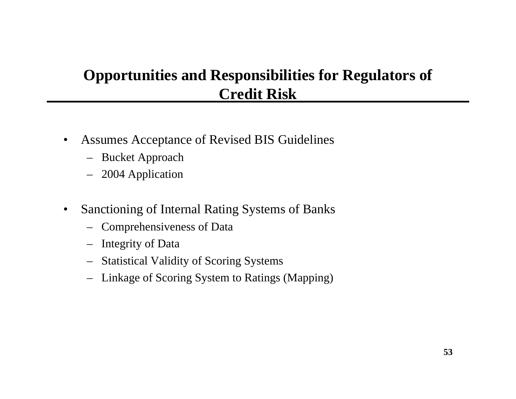## **Opportunities and Responsibilities for Regulators of Credit Risk**

- •Assumes Acceptance of Revised BIS Guidelines
	- Bucket Approach
	- 2004 Application
- •Sanctioning of Internal Rating Systems of Banks
	- Comprehensiveness of Data
	- Integrity of Data
	- –Statistical Validity of Scoring Systems
	- Linkage of Scoring System to Ratings (Mapping)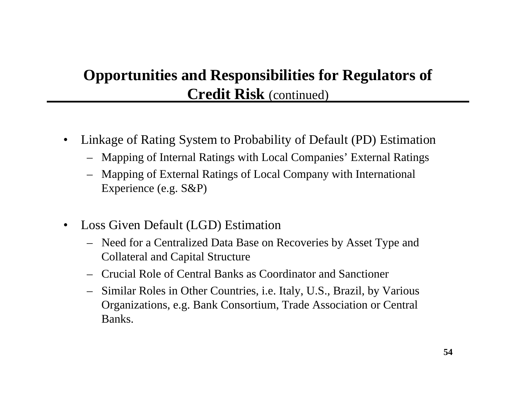## **Opportunities and Responsibilities for Regulators of Credit Risk** (continued)

- •Linkage of Rating System to Probability of Default (PD) Estimation
	- Mapping of Internal Ratings with Local Companies' External Ratings
	- Mapping of External Ratings of Local Company with International Experience (e.g. S&P)
- •Loss Given Default (LG D) Estimation
	- Need for a Centralized Data Base on Recoveries by Asset Type and Collateral and Capital Structure
	- Crucial Role of Central Banks as Coordinator and Sanctioner
	- Similar Roles in Other Countries, i.e. Italy, U.S., Brazil, by Various Organizations, e.g. Bank Consortium, Trade Association or Central Banks.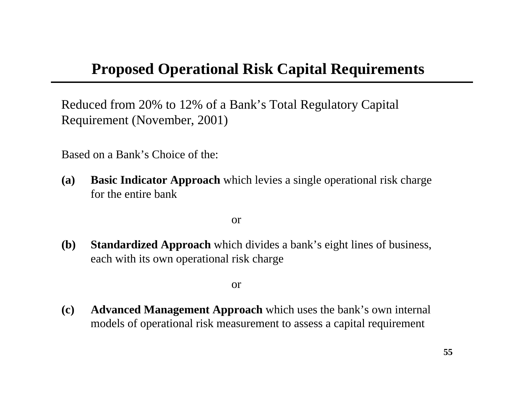### **Proposed Operational Risk Capital Requirements**

Reduced from 20% to 12% of a Bank's Total Regulatory Capital Requirement (November, 2001)

Based on a Bank's Choice of the:

**(a) Basic Indicator Approach** which levies a single operational risk charge for the entire bank

or

**(b) Standardized Approach** which divides a bank's eight lines of business, each with its own operational risk charge

or

**(c) Advanced Management Approach** which uses the bank's own internal models of operational risk measurement to assess a capital requirement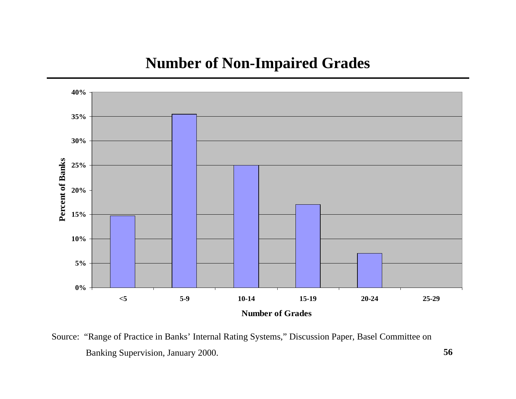#### **Number of Non-Impaired Grades**



Source: " Rang e of Practice in Banks' Internal Rating Systems," Discussion Paper, Basel Committee on Banking Supervision, January 2000. **56**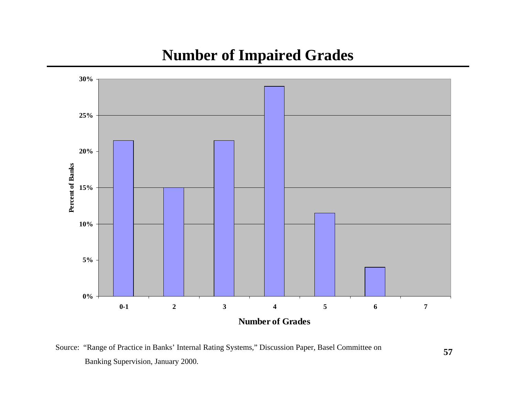#### **Number of Impaired Grades**



Source: "Range of Practice in Banks' Internal Rating Systems," Discussion Paper, Basel Committee on Banking Supervision, January 2000.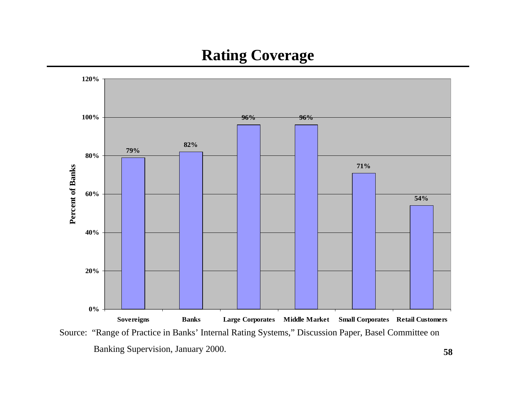### **Rating Coverage**



Source: "Range of Practice in Banks' Internal Rating Systems," Discussion Paper, Basel Committee on Banking Supervision, January 2000. **<sup>58</sup>**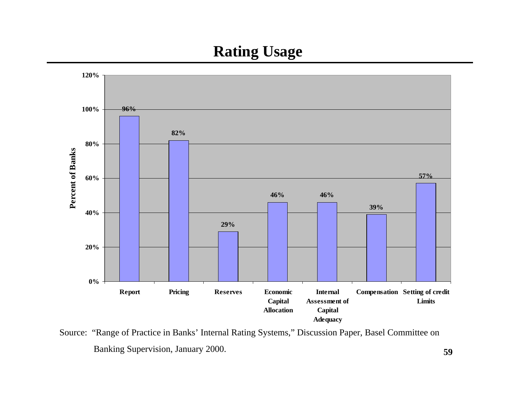## **Rating Usage**



Source: "Range of Practice in Banks' Internal Rating Systems," Discussion Paper, Basel Committee on Banking Supervision, January 2000. **<sup>59</sup>**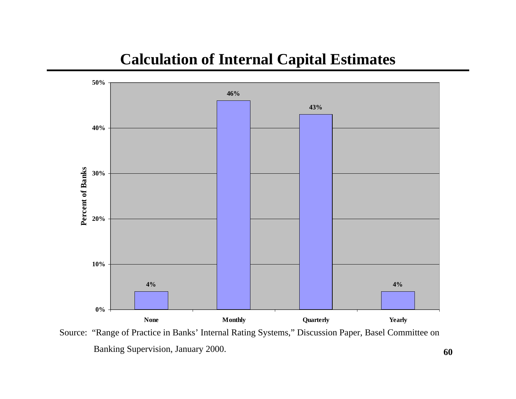#### **Calculation of Internal Capital Estimates**



Source: " Rang e of Practice in Banks' Internal Rating Systems," Discussion Paper, Basel Committee on Banking Supervision, January 2000. **60**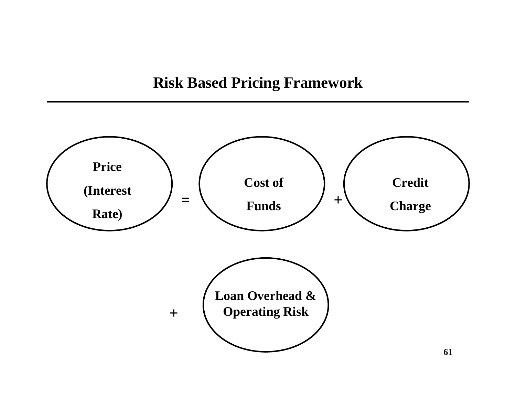#### **Risk Based Pricing Framework**

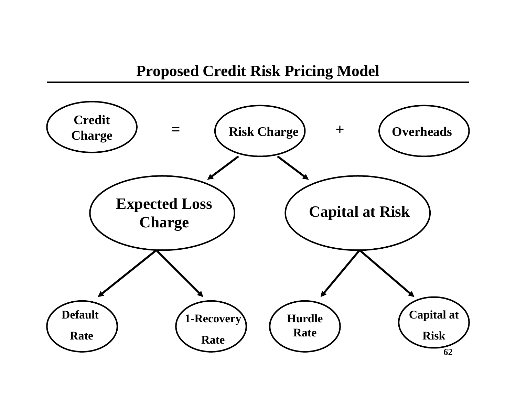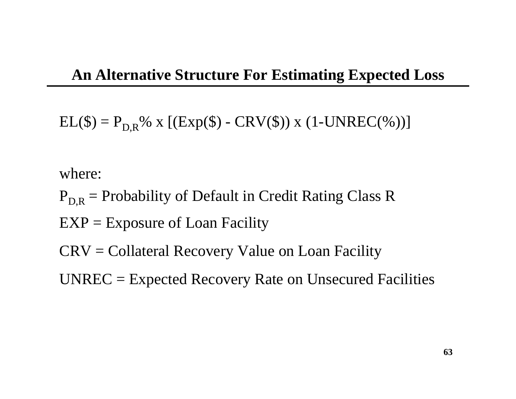$EL(\$) = P_{D,R}$ % x [( $Exp(\$) - CRV(\$)$ ) x (1-UNREC(%))]

where:

- $P_{DR}$  = Probability of Default in Credit Rating Class R
- $EXP =$  Exposure of Loan Facility
- CRV = Collateral Recovery Value on Loan Facility
- UNREC = Expected Recovery Rate on Unsecured Facilities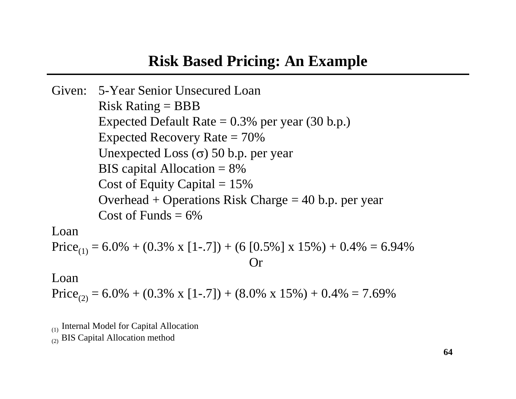#### **Risk Based Pricing: An Example**

Given: 5-Year Senior Unsecured Loan $Risk$  Rating  $=$  BBB Expected Default Rate  $= 0.3\%$  per year (30 b.p.) Expected Recovery Rate  $= 70\%$ Unexpected Loss ( <sup>σ</sup>) 50 b.p. per year BIS capital Allocation = 8% Cost of Equity Capital  $= 15\%$ Overhead + Operations Risk Charge  $=$  40 b.p. per year Cost of Funds  $= 6\%$ 

Loan

$$
Price_{(1)} = 6.0\% + (0.3\% \times [1-.7]) + (6 [0.5\%] \times 15\%) + 0.4\% = 6.94\%
$$
  
Or

#### Loan

Price<sub>(2)</sub> = 6.0% + (0.3% x [1-.7]) + (8.0% x 15%) + 0.4% = 7.69%

(1) Internal Model for Capital Allocation

(2) BIS Capital Allocation method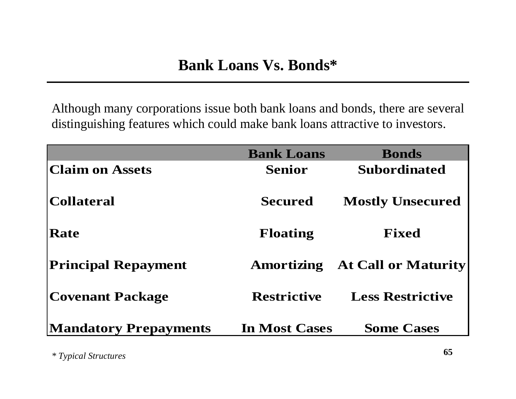Although many corporations issue both bank loans and bonds, there are several distinguishing features which could make bank loans attractive to investors.

|                              | <b>Bank Loans</b>    | <b>Bonds</b>               |
|------------------------------|----------------------|----------------------------|
| <b>Claim on Assets</b>       | <b>Senior</b>        | <b>Subordinated</b>        |
| Collateral                   | <b>Secured</b>       | <b>Mostly Unsecured</b>    |
| <b>Rate</b>                  | <b>Floating</b>      | <b>Fixed</b>               |
| <b>Principal Repayment</b>   | Amortizing           | <b>At Call or Maturity</b> |
| Covenant Package             | <b>Restrictive</b>   | <b>Less Restrictive</b>    |
| <b>Mandatory Prepayments</b> | <b>In Most Cases</b> | <b>Some Cases</b>          |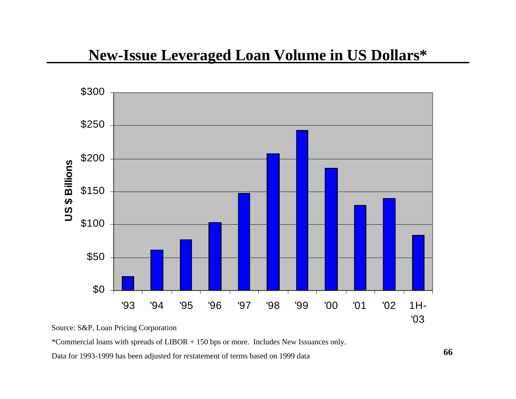#### **New-Issue Leveraged Loan Volume in US Dollars\***



Source: S&P, Loan Pricing Corporation

\*Commer cial loans with spreads of LIBOR + 150 bps or m ore. Includes New Issuances only.

Data for 1993-1999 has been adjusted for restatement of terms based on 1999 data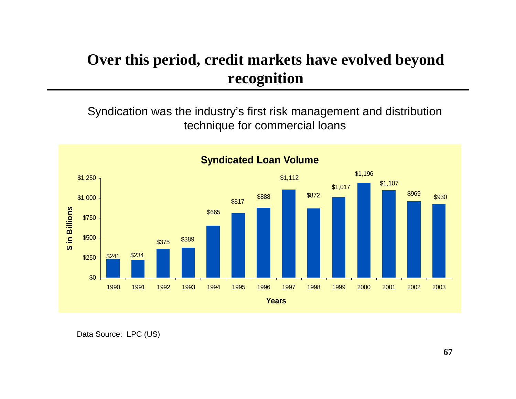## **Over this period, credit markets have evolved beyond recognition**

S yndication w as the industr y's first risk management and distribution technique for commercial loans



Data Sourc e: LPC (US)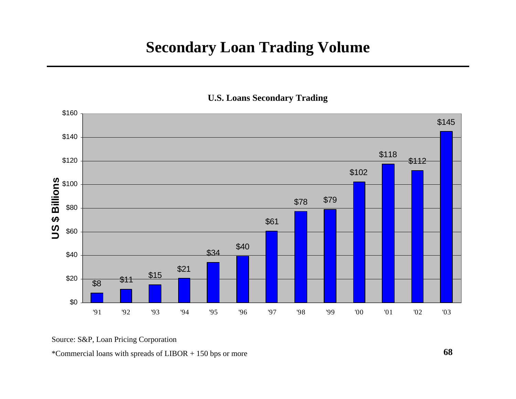#### **Secondary Loan Trading Volume**



**U.S. Loans Secondary Trading**

Source: S&P, Loan Pricing Corporation

\*Commer cial loans with spreads of LIBOR + 150 bps or m ore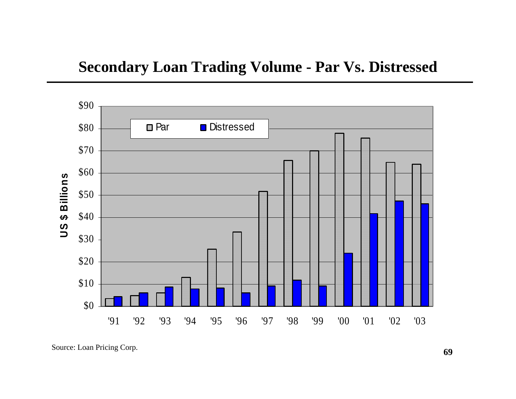#### **Secondary Loan Trading Volume - Par Vs. Distressed**



Source: Loa n Pricing Corp. **<sup>69</sup>**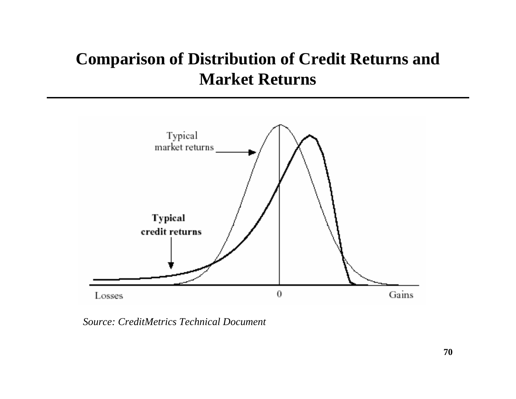# **Comparison of Distribution of Credit Returns and Market Returns**



*Source: CreditMetricsTechnical Document*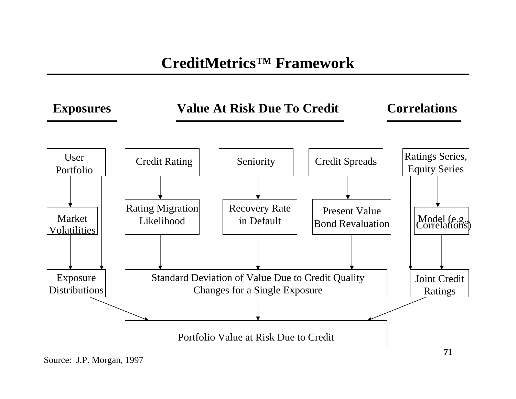## **CreditMetrics™ Framework**



Source: J.P. Morgan, 1997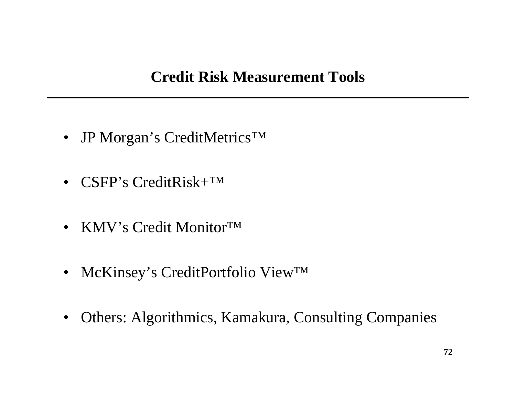- JP Morgan's CreditMetrics<sup>™</sup>
- CSFP's CreditRisk+<sup>™</sup>
- KMV's Credit Monitor™
- McKinsey's CreditPortfolio View™
- Others: Algorithmics, Kamakura, Consulting Companies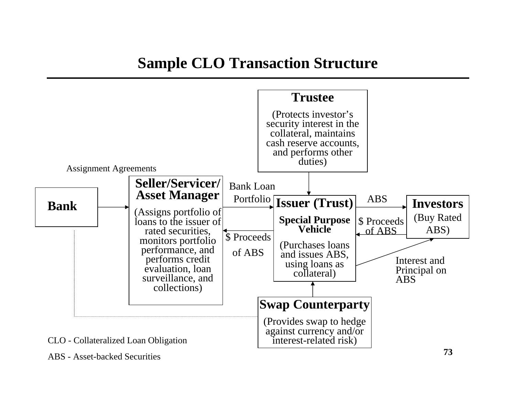## **Sample CLO Transaction Structure**



ABS - Asset-backed Securities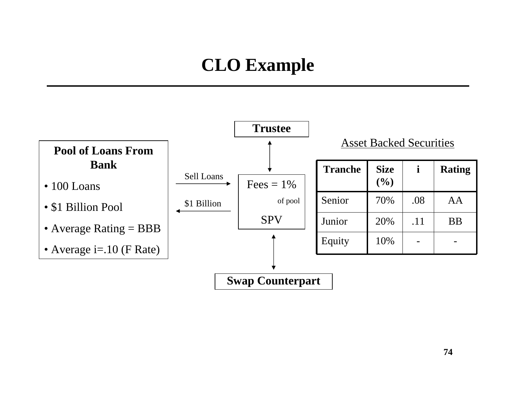# **CLO Example**

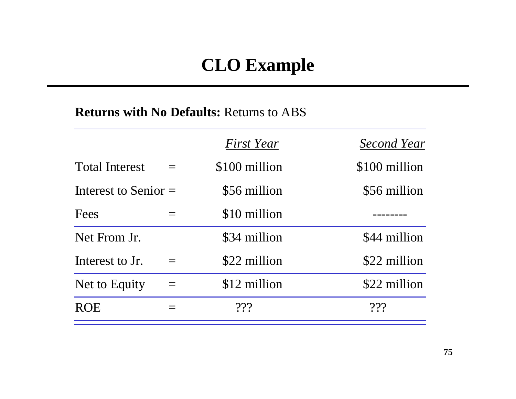## **CLO Example**

#### **Returns with No Defaults:** Returns to ABS

|                        |          | First Year    | <b>Second Year</b> |
|------------------------|----------|---------------|--------------------|
| <b>Total Interest</b>  |          | \$100 million | \$100 million      |
| Interest to Senior $=$ |          | \$56 million  | \$56 million       |
| Fees                   |          | \$10 million  |                    |
| Net From Jr.           |          | \$34 million  | \$44 million       |
| Interest to Jr.        |          | \$22 million  | \$22 million       |
| Net to Equity          | $\equiv$ | \$12 million  | \$22 million       |
| <b>ROE</b>             |          | 222           | 222                |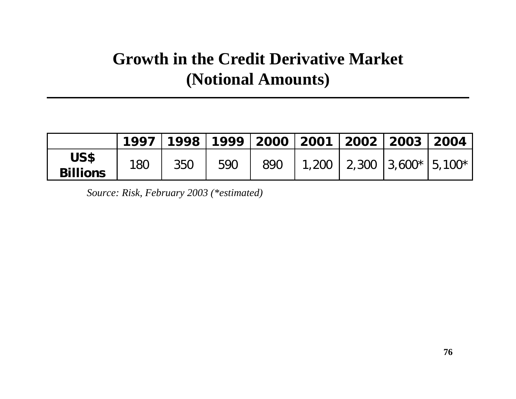## **Growth in the Credit Derivative Market (Notional Amounts)**

|                         |     |     |     |     | 1997   1998   1999   2000   2001   2002   2003   2004 |  |  |
|-------------------------|-----|-----|-----|-----|-------------------------------------------------------|--|--|
| US\$<br><b>Billions</b> | 180 | 350 | 590 | 890 | 1,200   2,300   3,600 $\star$   5,100 $\star$         |  |  |

*Source: Risk, February 2003 (\*estimated)*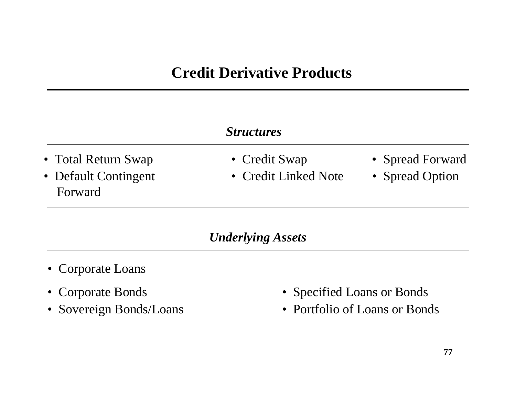## **Credit Derivative Products**

#### *Structures*

- Total Return Swap Credit Swap Spread Forward
- Forward
- 
- Default Contingent Credit Linked Note Spread Option
- 
- 

#### *Underlying Assets*

- Corporate Loans
- Corporate Bonds
- Sovereign Bonds/Loans
- Specified Loans or Bonds
- Portfolio of Loans or Bonds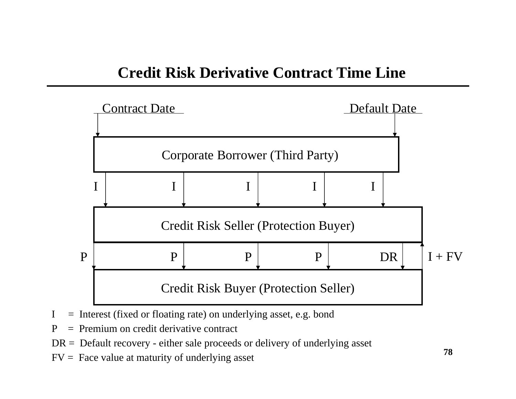

- $I =$  Interest (fixed or floating rate) on underlying asset, e.g. bond
- $P = P$ remium on credit derivative contract
- $DR = Default recovery either sale proceeds or delivery of underlying asset$
- $FV = Face value at maturity of underlying asset$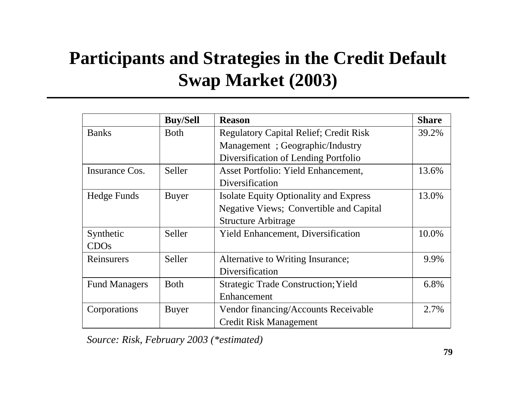# **Participants and Strategies in the Credit Default Swap Market (2003)**

|                      | <b>Buy/Sell</b> | <b>Reason</b>                                  | <b>Share</b> |
|----------------------|-----------------|------------------------------------------------|--------------|
| <b>Banks</b>         | <b>Both</b>     | <b>Regulatory Capital Relief; Credit Risk</b>  | 39.2%        |
|                      |                 | Management; Geographic/Industry                |              |
|                      |                 | Diversification of Lending Portfolio           |              |
| Insurance Cos.       | Seller          | Asset Portfolio: Yield Enhancement,            | 13.6%        |
|                      |                 | Diversification                                |              |
| Hedge Funds          | <b>Buyer</b>    | <b>Isolate Equity Optionality and Express</b>  | 13.0%        |
|                      |                 | <b>Negative Views; Convertible and Capital</b> |              |
|                      |                 | <b>Structure Arbitrage</b>                     |              |
| Synthetic            | Seller          | Yield Enhancement, Diversification             | 10.0%        |
| CDOs                 |                 |                                                |              |
| Reinsurers           | Seller          | Alternative to Writing Insurance;              | 9.9%         |
|                      |                 | Diversification                                |              |
| <b>Fund Managers</b> | <b>Both</b>     | <b>Strategic Trade Construction; Yield</b>     | 6.8%         |
|                      |                 | Enhancement                                    |              |
| Corporations         | <b>Buyer</b>    | Vendor financing/Accounts Receivable           | 2.7%         |
|                      |                 | <b>Credit Risk Management</b>                  |              |

*Source: Risk, February 2003 (\*estimated)*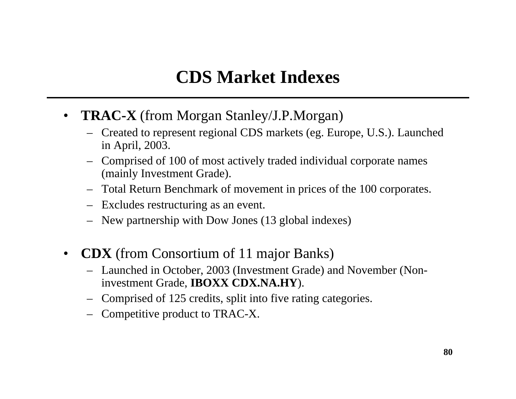## **CDS Market Indexes**

- **TRAC-X** (from Morgan Stanley/J.P.Morgan)
	- Created to represent regional CDS markets (eg. Europe, U.S.). Launched in April, 2003.
	- Comprised of 100 of most actively traded individual corporate names (mainly Investment Grade).
	- Total Return Benchmark of movement in prices of the 100 corporates.
	- Excludes restructuring as an event.
	- New partnership with Dow Jones (13 global indexes)
- $\bullet$  **CDX** (from Consortium of 11 major Banks)
	- Launched in October, 2003 (Investment Grade) and November (Noninvestment Grade, **IBOXX CDX.NA.HY**).
	- Comprised of 125 credits, split into five rating categories.
	- Competitive product to TRAC-X.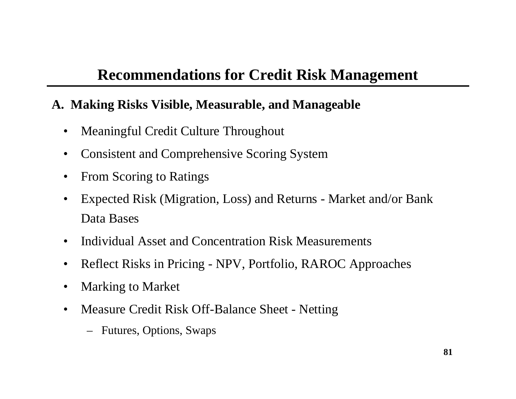## **Recommendations for Credit Risk Management**

### **A. Making Risks Visible, Measurable, and Manageable**

- $\bullet$ Meaningful Credit Culture Throughout
- •Consistent and Comprehensive Scoring System
- •From Scoring to Ratings
- •Expected Risk (Migration, Loss) and Returns - Market and/or Bank Data Bases
- •Individual Asset and Concentration Risk Measurements
- $\bullet$ Reflect Risks in Pricing - NPV, Portfolio, RAROC Approaches
- •Marking to Market
- $\bullet$ Measure Credit Risk Off-Balance Sheet - Netting
	- Futures, Options, Swaps